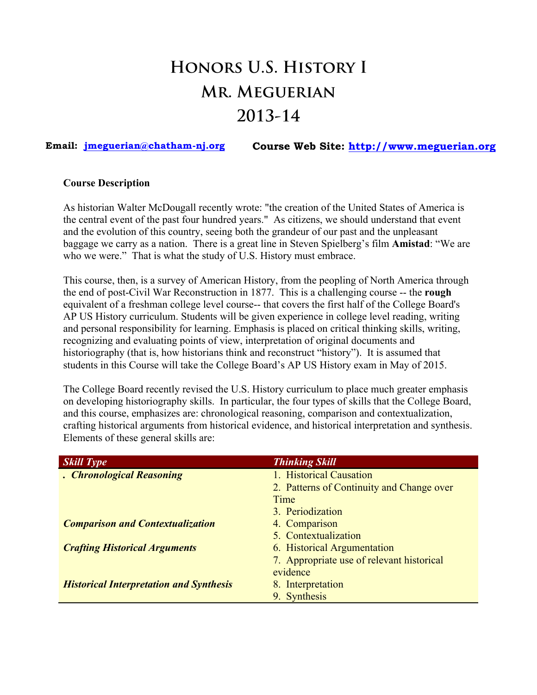# **Honors U.S. History I Mr. Meguerian 2013-14**

**Email: jmeguerian@chatham-nj.org Course Web Site: http://www.meguerian.org**

### **Course Description**

As historian Walter McDougall recently wrote: "the creation of the United States of America is the central event of the past four hundred years." As citizens, we should understand that event and the evolution of this country, seeing both the grandeur of our past and the unpleasant baggage we carry as a nation. There is a great line in Steven Spielberg's film **Amistad**: "We are who we were." That is what the study of U.S. History must embrace.

This course, then, is a survey of American History, from the peopling of North America through the end of post-Civil War Reconstruction in 1877. This is a challenging course -- the **rough** equivalent of a freshman college level course-- that covers the first half of the College Board's AP US History curriculum. Students will be given experience in college level reading, writing and personal responsibility for learning. Emphasis is placed on critical thinking skills, writing, recognizing and evaluating points of view, interpretation of original documents and historiography (that is, how historians think and reconstruct "history"). It is assumed that students in this Course will take the College Board's AP US History exam in May of 2015.

The College Board recently revised the U.S. History curriculum to place much greater emphasis on developing historiography skills. In particular, the four types of skills that the College Board, and this course, emphasizes are: chronological reasoning, comparison and contextualization, crafting historical arguments from historical evidence, and historical interpretation and synthesis. Elements of these general skills are:

| <b>Skill Type</b>                              | <b>Thinking Skill</b>                     |
|------------------------------------------------|-------------------------------------------|
| . Chronological Reasoning                      | 1. Historical Causation                   |
|                                                | 2. Patterns of Continuity and Change over |
|                                                | Time                                      |
|                                                | 3. Periodization                          |
| <b>Comparison and Contextualization</b>        | 4. Comparison                             |
|                                                | 5. Contextualization                      |
| <b>Crafting Historical Arguments</b>           | 6. Historical Argumentation               |
|                                                | 7. Appropriate use of relevant historical |
|                                                | evidence                                  |
| <b>Historical Interpretation and Synthesis</b> | 8. Interpretation                         |
|                                                | 9. Synthesis                              |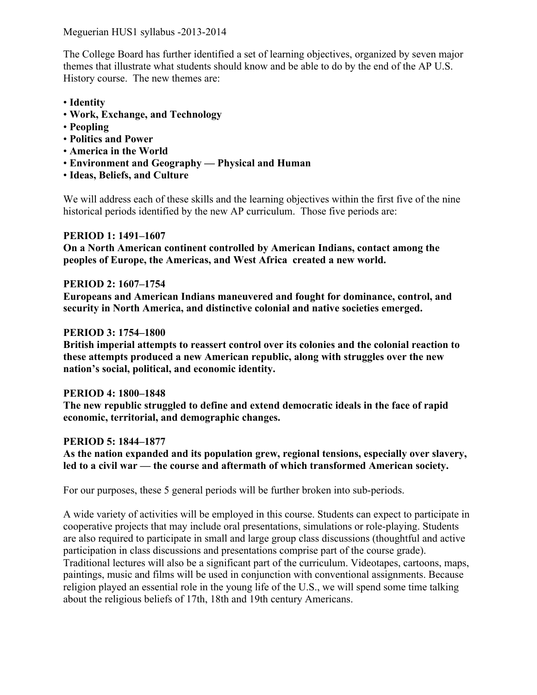Meguerian HUS1 syllabus -2013-2014

The College Board has further identified a set of learning objectives, organized by seven major themes that illustrate what students should know and be able to do by the end of the AP U.S. History course. The new themes are:

- **Identity**
- **Work, Exchange, and Technology**
- **Peopling**
- **Politics and Power**
- **America in the World**
- **Environment and Geography — Physical and Human**
- **Ideas, Beliefs, and Culture**

We will address each of these skills and the learning objectives within the first five of the nine historical periods identified by the new AP curriculum. Those five periods are:

# **PERIOD 1: 1491–1607**

**On a North American continent controlled by American Indians, contact among the peoples of Europe, the Americas, and West Africa created a new world.**

# **PERIOD 2: 1607–1754**

**Europeans and American Indians maneuvered and fought for dominance, control, and security in North America, and distinctive colonial and native societies emerged.**

# **PERIOD 3: 1754–1800**

**British imperial attempts to reassert control over its colonies and the colonial reaction to these attempts produced a new American republic, along with struggles over the new nation's social, political, and economic identity.**

# **PERIOD 4: 1800–1848**

**The new republic struggled to define and extend democratic ideals in the face of rapid economic, territorial, and demographic changes.**

# **PERIOD 5: 1844–1877**

**As the nation expanded and its population grew, regional tensions, especially over slavery, led to a civil war — the course and aftermath of which transformed American society.**

For our purposes, these 5 general periods will be further broken into sub-periods.

A wide variety of activities will be employed in this course. Students can expect to participate in cooperative projects that may include oral presentations, simulations or role-playing. Students are also required to participate in small and large group class discussions (thoughtful and active participation in class discussions and presentations comprise part of the course grade). Traditional lectures will also be a significant part of the curriculum. Videotapes, cartoons, maps, paintings, music and films will be used in conjunction with conventional assignments. Because religion played an essential role in the young life of the U.S., we will spend some time talking about the religious beliefs of 17th, 18th and 19th century Americans.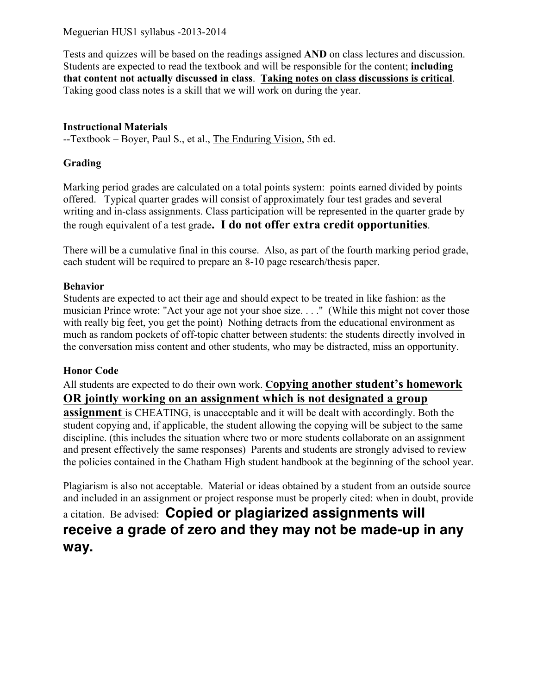Meguerian HUS1 syllabus -2013-2014

Tests and quizzes will be based on the readings assigned **AND** on class lectures and discussion. Students are expected to read the textbook and will be responsible for the content; **including that content not actually discussed in class**. **Taking notes on class discussions is critical**. Taking good class notes is a skill that we will work on during the year.

# **Instructional Materials**

--Textbook – Boyer, Paul S., et al., The Enduring Vision, 5th ed.

# **Grading**

Marking period grades are calculated on a total points system: points earned divided by points offered. Typical quarter grades will consist of approximately four test grades and several writing and in-class assignments. Class participation will be represented in the quarter grade by the rough equivalent of a test grade**. I do not offer extra credit opportunities**.

There will be a cumulative final in this course. Also, as part of the fourth marking period grade, each student will be required to prepare an 8-10 page research/thesis paper.

# **Behavior**

Students are expected to act their age and should expect to be treated in like fashion: as the musician Prince wrote: "Act your age not your shoe size. . . ." (While this might not cover those with really big feet, you get the point) Nothing detracts from the educational environment as much as random pockets of off-topic chatter between students: the students directly involved in the conversation miss content and other students, who may be distracted, miss an opportunity.

# **Honor Code**

All students are expected to do their own work. **Copying another student's homework OR jointly working on an assignment which is not designated a group** 

**assignment** is CHEATING, is unacceptable and it will be dealt with accordingly. Both the student copying and, if applicable, the student allowing the copying will be subject to the same discipline. (this includes the situation where two or more students collaborate on an assignment and present effectively the same responses) Parents and students are strongly advised to review the policies contained in the Chatham High student handbook at the beginning of the school year.

Plagiarism is also not acceptable. Material or ideas obtained by a student from an outside source and included in an assignment or project response must be properly cited: when in doubt, provide

# a citation. Be advised: **Copied or plagiarized assignments will receive a grade of zero and they may not be made-up in any way.**